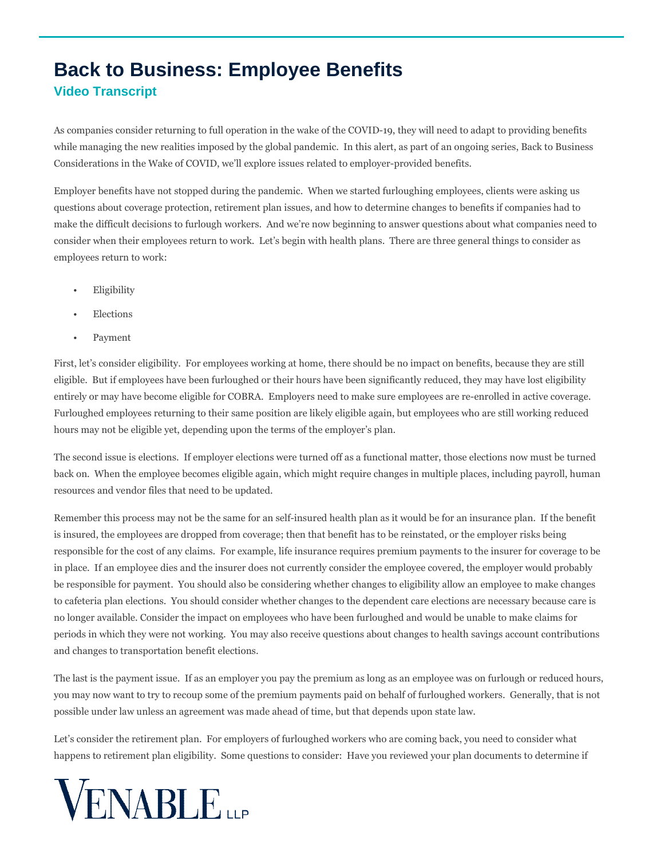## **Back to Business: Employee Benefits Video Transcript**

As companies consider returning to full operation in the wake of the COVID-19, they will need to adapt to providing benefits while managing the new realities imposed by the global pandemic. In this alert, as part of an ongoing series, Back to Business Considerations in the Wake of COVID, we'll explore issues related to employer-provided benefits.

Employer benefits have not stopped during the pandemic. When we started furloughing employees, clients were asking us questions about coverage protection, retirement plan issues, and how to determine changes to benefits if companies had to make the difficult decisions to furlough workers. And we're now beginning to answer questions about what companies need to consider when their employees return to work. Let's begin with health plans. There are three general things to consider as employees return to work:

- Eligibility
- **Elections**
- Payment

First, let's consider eligibility. For employees working at home, there should be no impact on benefits, because they are still eligible. But if employees have been furloughed or their hours have been significantly reduced, they may have lost eligibility entirely or may have become eligible for COBRA. Employers need to make sure employees are re-enrolled in active coverage. Furloughed employees returning to their same position are likely eligible again, but employees who are still working reduced hours may not be eligible yet, depending upon the terms of the employer's plan.

The second issue is elections. If employer elections were turned off as a functional matter, those elections now must be turned back on. When the employee becomes eligible again, which might require changes in multiple places, including payroll, human resources and vendor files that need to be updated.

Remember this process may not be the same for an self-insured health plan as it would be for an insurance plan. If the benefit is insured, the employees are dropped from coverage; then that benefit has to be reinstated, or the employer risks being responsible for the cost of any claims. For example, life insurance requires premium payments to the insurer for coverage to be in place. If an employee dies and the insurer does not currently consider the employee covered, the employer would probably be responsible for payment. You should also be considering whether changes to eligibility allow an employee to make changes to cafeteria plan elections. You should consider whether changes to the dependent care elections are necessary because care is no longer available. Consider the impact on employees who have been furloughed and would be unable to make claims for periods in which they were not working. You may also receive questions about changes to health savings account contributions and changes to transportation benefit elections.

The last is the payment issue. If as an employer you pay the premium as long as an employee was on furlough or reduced hours, you may now want to try to recoup some of the premium payments paid on behalf of furloughed workers. Generally, that is not possible under law unless an agreement was made ahead of time, but that depends upon state law.

Let's consider the retirement plan. For employers of furloughed workers who are coming back, you need to consider what happens to retirement plan eligibility. Some questions to consider: Have you reviewed your plan documents to determine if